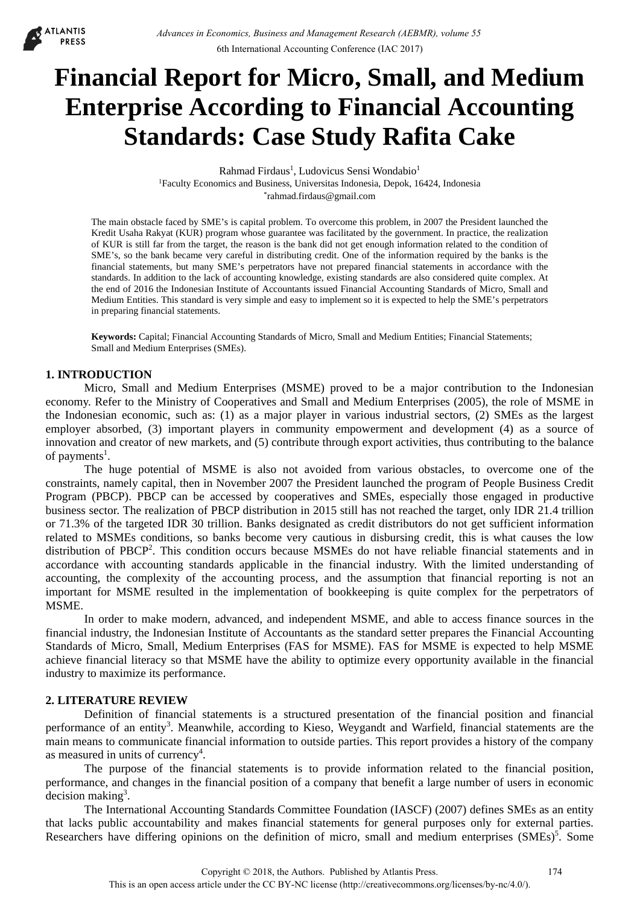

# **Financial Report for Micro, Small, and Medium Enterprise According to Financial Accounting Standards: Case Study Rafita Cake**

Rahmad Firdaus<sup>1</sup>, Ludovicus Sensi Wondabio<sup>1</sup> 1Faculty Economics and Business, Universitas Indonesia, Depok, 16424, Indonesia \*rahmad.firdaus@gmail.com

The main obstacle faced by SME's is capital problem. To overcome this problem, in 2007 the President launched the Kredit Usaha Rakyat (KUR) program whose guarantee was facilitated by the government. In practice, the realization of KUR is still far from the target, the reason is the bank did not get enough information related to the condition of SME's, so the bank became very careful in distributing credit. One of the information required by the banks is the financial statements, but many SME's perpetrators have not prepared financial statements in accordance with the standards. In addition to the lack of accounting knowledge, existing standards are also considered quite complex. At the end of 2016 the Indonesian Institute of Accountants issued Financial Accounting Standards of Micro, Small and Medium Entities. This standard is very simple and easy to implement so it is expected to help the SME's perpetrators in preparing financial statements.

**Keywords:** Capital; Financial Accounting Standards of Micro, Small and Medium Entities; Financial Statements; Small and Medium Enterprises (SMEs).

### **1. INTRODUCTION**

Micro, Small and Medium Enterprises (MSME) proved to be a major contribution to the Indonesian economy. Refer to the Ministry of Cooperatives and Small and Medium Enterprises (2005), the role of MSME in the Indonesian economic, such as: (1) as a major player in various industrial sectors, (2) SMEs as the largest employer absorbed, (3) important players in community empowerment and development (4) as a source of innovation and creator of new markets, and (5) contribute through export activities, thus contributing to the balance of payments<sup>1</sup>.

The huge potential of MSME is also not avoided from various obstacles, to overcome one of the constraints, namely capital, then in November 2007 the President launched the program of People Business Credit Program (PBCP). PBCP can be accessed by cooperatives and SMEs, especially those engaged in productive business sector. The realization of PBCP distribution in 2015 still has not reached the target, only IDR 21.4 trillion or 71.3% of the targeted IDR 30 trillion. Banks designated as credit distributors do not get sufficient information related to MSMEs conditions, so banks become very cautious in disbursing credit, this is what causes the low distribution of PBCP<sup>2</sup>. This condition occurs because MSMEs do not have reliable financial statements and in accordance with accounting standards applicable in the financial industry. With the limited understanding of accounting, the complexity of the accounting process, and the assumption that financial reporting is not an important for MSME resulted in the implementation of bookkeeping is quite complex for the perpetrators of MSME.

In order to make modern, advanced, and independent MSME, and able to access finance sources in the financial industry, the Indonesian Institute of Accountants as the standard setter prepares the Financial Accounting Standards of Micro, Small, Medium Enterprises (FAS for MSME). FAS for MSME is expected to help MSME achieve financial literacy so that MSME have the ability to optimize every opportunity available in the financial industry to maximize its performance.

### **2. LITERATURE REVIEW**

Definition of financial statements is a structured presentation of the financial position and financial performance of an entity<sup>3</sup>. Meanwhile, according to Kieso, Weygandt and Warfield, financial statements are the main means to communicate financial information to outside parties. This report provides a history of the company as measured in units of currency<sup>4</sup>.

The purpose of the financial statements is to provide information related to the financial position, performance, and changes in the financial position of a company that benefit a large number of users in economic  $decision$  making<sup>3</sup>.

The International Accounting Standards Committee Foundation (IASCF) (2007) defines SMEs as an entity that lacks public accountability and makes financial statements for general purposes only for external parties. Researchers have differing opinions on the definition of micro, small and medium enterprises (SMEs)<sup>5</sup>. Some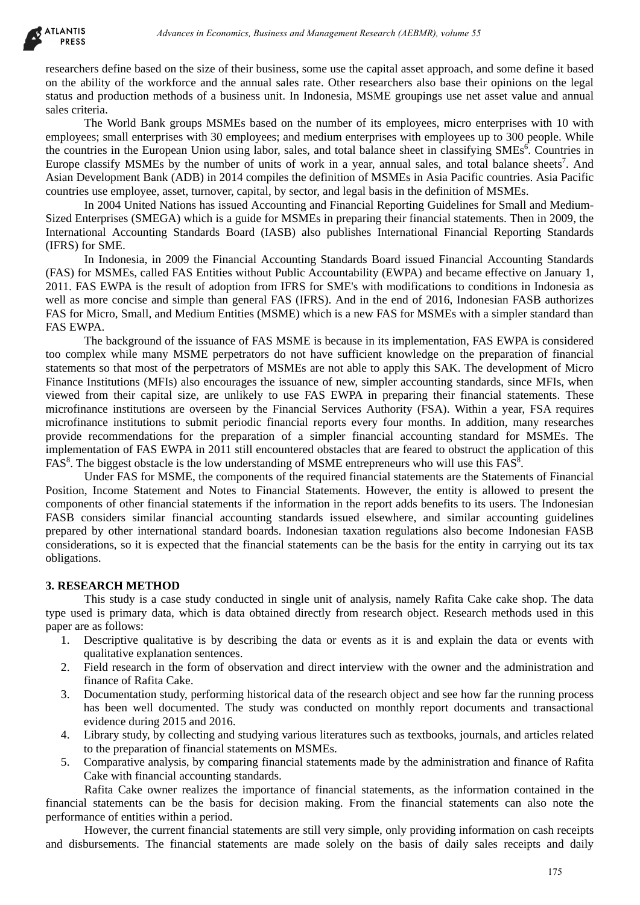**ATLANTIS PRESS** 

> researchers define based on the size of their business, some use the capital asset approach, and some define it based on the ability of the workforce and the annual sales rate. Other researchers also base their opinions on the legal status and production methods of a business unit. In Indonesia, MSME groupings use net asset value and annual sales criteria.

> The World Bank groups MSMEs based on the number of its employees, micro enterprises with 10 with employees; small enterprises with 30 employees; and medium enterprises with employees up to 300 people. While the countries in the European Union using labor, sales, and total balance sheet in classifying SMEs<sup>6</sup>. Countries in Europe classify MSMEs by the number of units of work in a year, annual sales, and total balance sheets<sup>7</sup>. And Asian Development Bank (ADB) in 2014 compiles the definition of MSMEs in Asia Pacific countries. Asia Pacific countries use employee, asset, turnover, capital, by sector, and legal basis in the definition of MSMEs.

> In 2004 United Nations has issued Accounting and Financial Reporting Guidelines for Small and Medium-Sized Enterprises (SMEGA) which is a guide for MSMEs in preparing their financial statements. Then in 2009, the International Accounting Standards Board (IASB) also publishes International Financial Reporting Standards (IFRS) for SME.

> In Indonesia, in 2009 the Financial Accounting Standards Board issued Financial Accounting Standards (FAS) for MSMEs, called FAS Entities without Public Accountability (EWPA) and became effective on January 1, 2011. FAS EWPA is the result of adoption from IFRS for SME's with modifications to conditions in Indonesia as well as more concise and simple than general FAS (IFRS). And in the end of 2016, Indonesian FASB authorizes FAS for Micro, Small, and Medium Entities (MSME) which is a new FAS for MSMEs with a simpler standard than FAS EWPA.

> The background of the issuance of FAS MSME is because in its implementation, FAS EWPA is considered too complex while many MSME perpetrators do not have sufficient knowledge on the preparation of financial statements so that most of the perpetrators of MSMEs are not able to apply this SAK. The development of Micro Finance Institutions (MFIs) also encourages the issuance of new, simpler accounting standards, since MFIs, when viewed from their capital size, are unlikely to use FAS EWPA in preparing their financial statements. These microfinance institutions are overseen by the Financial Services Authority (FSA). Within a year, FSA requires microfinance institutions to submit periodic financial reports every four months. In addition, many researches provide recommendations for the preparation of a simpler financial accounting standard for MSMEs. The implementation of FAS EWPA in 2011 still encountered obstacles that are feared to obstruct the application of this FAS<sup>8</sup>. The biggest obstacle is the low understanding of MSME entrepreneurs who will use this FAS<sup>8</sup>. debiases in Economics, Business and Management Research (AEBMR), volume 55<br>
> Advances in Levin Consistes in the negative and Management Research and some latter of the size of their business and in the focosity and some lat

> Under FAS for MSME, the components of the required financial statements are the Statements of Financial Position, Income Statement and Notes to Financial Statements. However, the entity is allowed to present the components of other financial statements if the information in the report adds benefits to its users. The Indonesian FASB considers similar financial accounting standards issued elsewhere, and similar accounting guidelines prepared by other international standard boards. Indonesian taxation regulations also become Indonesian FASB considerations, so it is expected that the financial statements can be the basis for the entity in carrying out its tax obligations.

## **3. RESEARCH METHOD**

This study is a case study conducted in single unit of analysis, namely Rafita Cake cake shop. The data type used is primary data, which is data obtained directly from research object. Research methods used in this paper are as follows:

- 1. Descriptive qualitative is by describing the data or events as it is and explain the data or events with qualitative explanation sentences.
- 2. Field research in the form of observation and direct interview with the owner and the administration and finance of Rafita Cake.
- 3. Documentation study, performing historical data of the research object and see how far the running process has been well documented. The study was conducted on monthly report documents and transactional evidence during 2015 and 2016.
- 4. Library study, by collecting and studying various literatures such as textbooks, journals, and articles related to the preparation of financial statements on MSMEs.
- 5. Comparative analysis, by comparing financial statements made by the administration and finance of Rafita Cake with financial accounting standards.

Rafita Cake owner realizes the importance of financial statements, as the information contained in the financial statements can be the basis for decision making. From the financial statements can also note the performance of entities within a period.

However, the current financial statements are still very simple, only providing information on cash receipts and disbursements. The financial statements are made solely on the basis of daily sales receipts and daily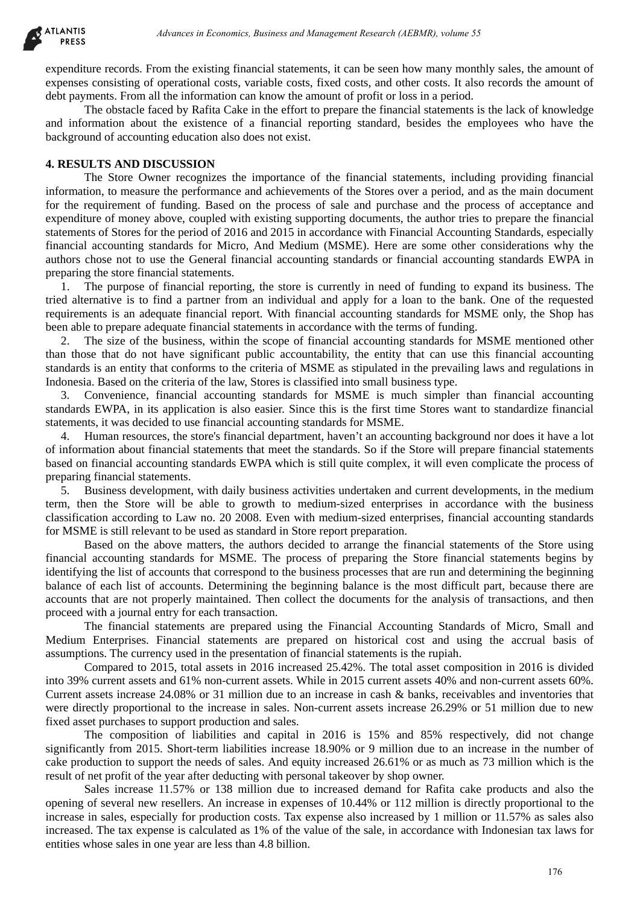expenditure records. From the existing financial statements, it can be seen how many monthly sales, the amount of expenses consisting of operational costs, variable costs, fixed costs, and other costs. It also records the amount of debt payments. From all the information can know the amount of profit or loss in a period.

The obstacle faced by Rafita Cake in the effort to prepare the financial statements is the lack of knowledge and information about the existence of a financial reporting standard, besides the employees who have the background of accounting education also does not exist.

### **4. RESULTS AND DISCUSSION**

The Store Owner recognizes the importance of the financial statements, including providing financial information, to measure the performance and achievements of the Stores over a period, and as the main document for the requirement of funding. Based on the process of sale and purchase and the process of acceptance and expenditure of money above, coupled with existing supporting documents, the author tries to prepare the financial statements of Stores for the period of 2016 and 2015 in accordance with Financial Accounting Standards, especially financial accounting standards for Micro, And Medium (MSME). Here are some other considerations why the authors chose not to use the General financial accounting standards or financial accounting standards EWPA in preparing the store financial statements. debiases in Economics, Busines and Management Research (AEBMR), volume 55<br>operational costs, and Management Research (AEBMR), volume 55<br>operational costs, and also respect that the search low many monthly sales, the and<br>op

1. The purpose of financial reporting, the store is currently in need of funding to expand its business. The tried alternative is to find a partner from an individual and apply for a loan to the bank. One of the requested requirements is an adequate financial report. With financial accounting standards for MSME only, the Shop has been able to prepare adequate financial statements in accordance with the terms of funding.

2. The size of the business, within the scope of financial accounting standards for MSME mentioned other than those that do not have significant public accountability, the entity that can use this financial accounting standards is an entity that conforms to the criteria of MSME as stipulated in the prevailing laws and regulations in Indonesia. Based on the criteria of the law, Stores is classified into small business type.

3. Convenience, financial accounting standards for MSME is much simpler than financial accounting standards EWPA, in its application is also easier. Since this is the first time Stores want to standardize financial statements, it was decided to use financial accounting standards for MSME.

4. Human resources, the store's financial department, haven't an accounting background nor does it have a lot of information about financial statements that meet the standards. So if the Store will prepare financial statements based on financial accounting standards EWPA which is still quite complex, it will even complicate the process of preparing financial statements.

5. Business development, with daily business activities undertaken and current developments, in the medium term, then the Store will be able to growth to medium-sized enterprises in accordance with the business classification according to Law no. 20 2008. Even with medium-sized enterprises, financial accounting standards for MSME is still relevant to be used as standard in Store report preparation.

Based on the above matters, the authors decided to arrange the financial statements of the Store using financial accounting standards for MSME. The process of preparing the Store financial statements begins by identifying the list of accounts that correspond to the business processes that are run and determining the beginning balance of each list of accounts. Determining the beginning balance is the most difficult part, because there are accounts that are not properly maintained. Then collect the documents for the analysis of transactions, and then proceed with a journal entry for each transaction.

The financial statements are prepared using the Financial Accounting Standards of Micro, Small and Medium Enterprises. Financial statements are prepared on historical cost and using the accrual basis of assumptions. The currency used in the presentation of financial statements is the rupiah.

Compared to 2015, total assets in 2016 increased 25.42%. The total asset composition in 2016 is divided into 39% current assets and 61% non-current assets. While in 2015 current assets 40% and non-current assets 60%. Current assets increase 24.08% or 31 million due to an increase in cash & banks, receivables and inventories that were directly proportional to the increase in sales. Non-current assets increase 26.29% or 51 million due to new fixed asset purchases to support production and sales.

The composition of liabilities and capital in 2016 is 15% and 85% respectively, did not change significantly from 2015. Short-term liabilities increase 18.90% or 9 million due to an increase in the number of cake production to support the needs of sales. And equity increased 26.61% or as much as 73 million which is the result of net profit of the year after deducting with personal takeover by shop owner.

Sales increase 11.57% or 138 million due to increased demand for Rafita cake products and also the opening of several new resellers. An increase in expenses of 10.44% or 112 million is directly proportional to the increase in sales, especially for production costs. Tax expense also increased by 1 million or 11.57% as sales also increased. The tax expense is calculated as 1% of the value of the sale, in accordance with Indonesian tax laws for entities whose sales in one year are less than 4.8 billion.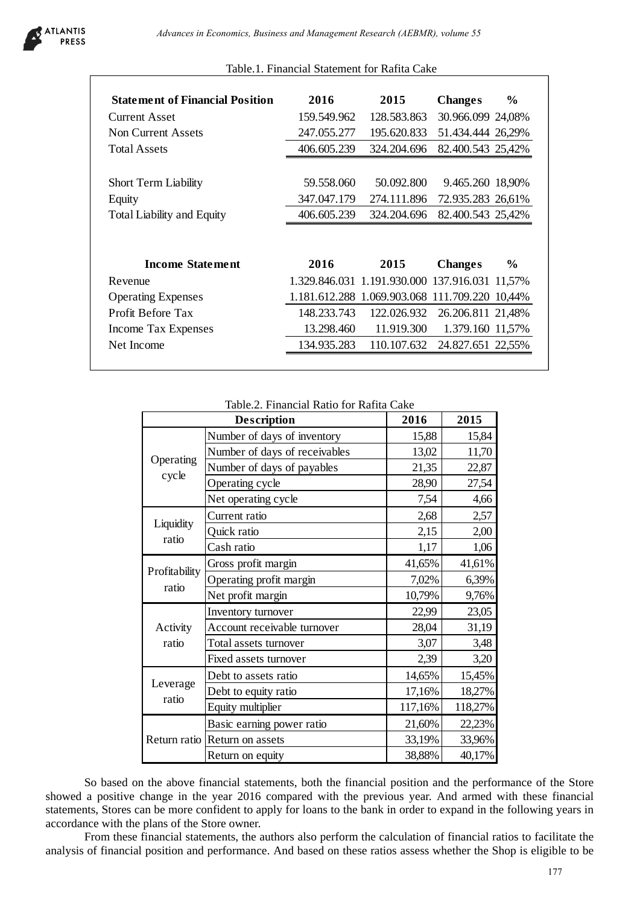

## Table.1. Financial Statement for Rafita Cake

| 2016        | 2015                                           | <b>Changes</b>    | $\%$          |
|-------------|------------------------------------------------|-------------------|---------------|
| 159.549.962 | 128.583.863                                    | 30.966.099 24,08% |               |
| 247.055.277 | 195.620.833                                    | 51.434.444 26,29% |               |
| 406.605.239 | 324.204.696                                    | 82.400.543 25,42% |               |
|             |                                                |                   |               |
| 59.558.060  | 50.092.800                                     | 9.465.260 18,90%  |               |
| 347.047.179 | 274.111.896                                    | 72.935.283 26,61% |               |
| 406.605.239 | 324.204.696                                    | 82.400.543 25,42% |               |
|             |                                                |                   |               |
|             |                                                |                   |               |
| 2016        | 2015                                           | <b>Changes</b>    | $\frac{6}{9}$ |
|             | 1.329.846.031 1.191.930.000 137.916.031 11,57% |                   |               |
|             | 1.181.612.288 1.069.903.068 111.709.220 10,44% |                   |               |
| 148.233.743 | 122.026.932                                    | 26.206.811 21,48% |               |
| 13.298.460  | 11.919.300                                     | 1.379.160 11,57%  |               |
|             |                                                |                   |               |

Table.2. Financial Ratio for Rafita Cake

|                                               | nent of Financial Position                | 2016                                           |                             | 2015                          |                   | <b>Changes</b>    | $\frac{6}{6}$ |
|-----------------------------------------------|-------------------------------------------|------------------------------------------------|-----------------------------|-------------------------------|-------------------|-------------------|---------------|
| t Asset                                       |                                           | 159.549.962                                    | 128.583.863                 |                               |                   | 30.966.099 24,08% |               |
| urrent Assets                                 |                                           | 247.055.277                                    | 195.620.833                 |                               |                   | 51.434.444 26,29% |               |
| <b>SSets</b>                                  |                                           | 406.605.239                                    | 324.204.696                 |                               |                   | 82.400.543 25,42% |               |
|                                               |                                           |                                                |                             |                               |                   |                   |               |
| <b>Perm Liability</b><br>iability and Equity. |                                           | 59.558.060                                     | 50.092.800 9.465.260 18,90% |                               |                   |                   |               |
|                                               |                                           | 347.047.179                                    | 274.111.896                 |                               | 72.935.283 26,61% |                   |               |
|                                               |                                           | 406.605.239                                    | 324.204.696                 |                               | 82.400.543 25,42% |                   |               |
|                                               |                                           |                                                |                             |                               |                   |                   |               |
| <b>Income Statement</b>                       |                                           | 2016                                           |                             | 2015                          |                   | <b>Changes</b>    | $\frac{6}{9}$ |
| ıе                                            |                                           | 1.329.846.031 1.191.930.000 137.916.031 11,57% |                             |                               |                   |                   |               |
| ing Expenses                                  |                                           | 1.181.612.288 1.069.903.068 111.709.220 10,44% |                             |                               |                   |                   |               |
| Before Tax                                    |                                           | 148.233.743                                    |                             | 122.026.932 26.206.811 21,48% |                   |                   |               |
| <b>Tax Expenses</b>                           |                                           | 13.298.460 11.919.300                          |                             |                               |                   | 1.379.160 11,57%  |               |
| come                                          |                                           | 134.935.283                                    |                             | 110.107.632                   |                   | 24.827.651 22,55% |               |
|                                               |                                           | Table.2. Financial Ratio for Rafita Cake       |                             |                               |                   |                   |               |
|                                               | <b>Description</b>                        |                                                |                             | 2016                          |                   | 2015              |               |
|                                               | Number of days of inventory               |                                                |                             | 15,88                         |                   | 15,84             |               |
|                                               |                                           |                                                |                             | 13,02                         |                   |                   |               |
|                                               | Number of days of receivables             |                                                |                             |                               |                   | 11,70             |               |
|                                               | Number of days of payables                |                                                |                             | 21,35                         |                   | 22,87             |               |
| cycle                                         | Operating cycle                           |                                                |                             | 28,90                         |                   | 27,54             |               |
| Operating                                     | Net operating cycle                       |                                                |                             | 7,54                          |                   | 4,66              |               |
| Liquidity                                     | Current ratio                             |                                                |                             | 2,68                          |                   | 2,57              |               |
| ratio                                         | Quick ratio                               |                                                |                             | 2,15                          |                   | 2,00              |               |
|                                               | Cash ratio                                |                                                |                             | 1,17                          |                   | 1,06              |               |
|                                               | Gross profit margin                       |                                                |                             | 41,65%                        |                   | 41,61%            |               |
| ratio                                         | Operating profit margin                   |                                                |                             | 7,02%                         |                   | 6,39%             |               |
|                                               | Net profit margin                         |                                                |                             | 10,79%                        |                   | 9,76%             |               |
|                                               | Inventory turnover                        |                                                |                             | 22,99                         |                   | 23,05             |               |
| Activity                                      | Account receivable turnover               |                                                |                             | 28,04                         |                   | 31,19             |               |
| ratio                                         | Total assets turnover                     |                                                |                             | 3,07                          |                   | 3,48              |               |
| Profitability                                 | Fixed assets turnover                     |                                                |                             | 2,39                          |                   | 3,20              |               |
| Leverage                                      | Debt to assets ratio                      |                                                |                             | 14,65%                        |                   | 15,45%            |               |
| ratio                                         | Debt to equity ratio<br>Equity multiplier |                                                |                             | 17,16%<br>117,16%             |                   | 18,27%<br>118,27% |               |
|                                               | Basic earning power ratio                 |                                                |                             | 21,60%                        |                   |                   |               |
| Return ratio                                  | Return on assets                          |                                                |                             | 33,19%                        |                   | 22,23%<br>33,96%  |               |

So based on the above financial statements, both the financial position and the performance of the Store showed a positive change in the year 2016 compared with the previous year. And armed with these financial statements, Stores can be more confident to apply for loans to the bank in order to expand in the following years in accordance with the plans of the Store owner.

From these financial statements, the authors also perform the calculation of financial ratios to facilitate the analysis of financial position and performance. And based on these ratios assess whether the Shop is eligible to be